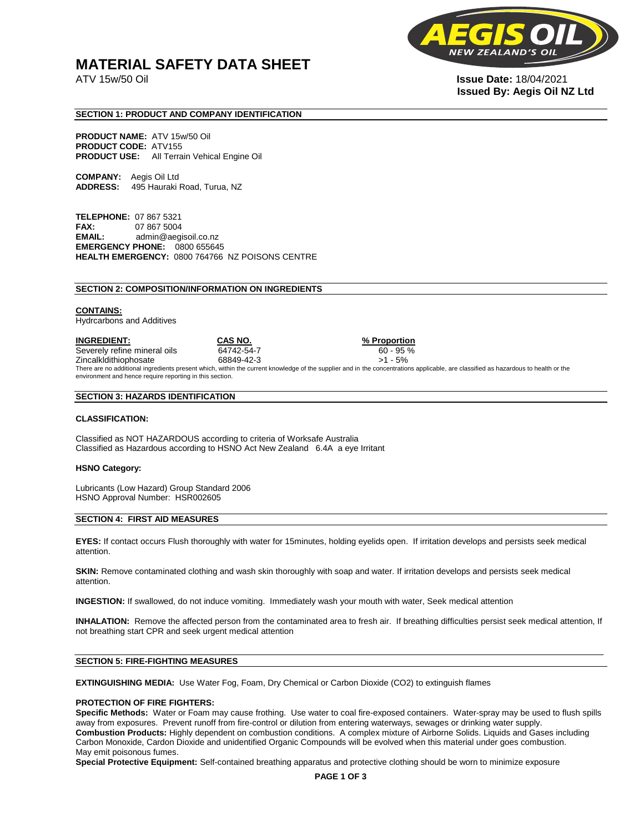# **MATERIAL SAFETY DATA SHEET**

**NEW** 

ATV 15w/50 Oil **Issue Date:** 18/04/2021 **Issued By: Aegis Oil NZ Ltd** 

## **SECTION 1: PRODUCT AND COMPANY IDENTIFICATION**

**PRODUCT NAME:** ATV 15w/50 Oil **PRODUCT CODE:** ATV155 **PRODUCT USE:** All Terrain Vehical Engine Oil

**COMPANY:** Aegis Oil Ltd **ADDRESS:** 495 Hauraki Road, Turua, NZ

**TELEPHONE:** 07 867 5321 **FAX:** 07 867 5004 **EMAIL:** admin@aegisoil.co.nz **EMERGENCY PHONE:** 0800 655645 **HEALTH EMERGENCY:** 0800 764766 NZ POISONS CENTRE

#### **SECTION 2: COMPOSITION/INFORMATION ON INGREDIENTS**

#### **CONTAINS:**

Hydrcarbons and Additives

**INGREDIENT: CAS NO. % Proportion**  Severely refine mineral oils 64742-54-7 60 - 95 % Zincalkldithiophosate 68849-42-3 >1 - 5% There are no additional ingredients present which, within the current knowledge of the supplier and in the concentrations applicable, are classified as hazardous to health or the environment and hence require reporting in this section.

#### **SECTION 3: HAZARDS IDENTIFICATION**

#### **CLASSIFICATION:**

Classified as NOT HAZARDOUS according to criteria of Worksafe Australia Classified as Hazardous according to HSNO Act New Zealand 6.4A a eye Irritant

#### **HSNO Category:**

Lubricants (Low Hazard) Group Standard 2006 HSNO Approval Number: HSR002605

### **SECTION 4: FIRST AID MEASURES**

**EYES:** If contact occurs Flush thoroughly with water for 15minutes, holding eyelids open. If irritation develops and persists seek medical attention.

**SKIN:** Remove contaminated clothing and wash skin thoroughly with soap and water. If irritation develops and persists seek medical attention.

**INGESTION:** If swallowed, do not induce vomiting. Immediately wash your mouth with water, Seek medical attention

**INHALATION:** Remove the affected person from the contaminated area to fresh air. If breathing difficulties persist seek medical attention, If not breathing start CPR and seek urgent medical attention

# **SECTION 5: FIRE-FIGHTING MEASURES**

**EXTINGUISHING MEDIA:** Use Water Fog, Foam, Dry Chemical or Carbon Dioxide (CO2) to extinguish flames

#### **PROTECTION OF FIRE FIGHTERS:**

**Specific Methods:** Water or Foam may cause frothing. Use water to coal fire-exposed containers. Water-spray may be used to flush spills away from exposures. Prevent runoff from fire-control or dilution from entering waterways, sewages or drinking water supply. **Combustion Products:** Highly dependent on combustion conditions. A complex mixture of Airborne Solids. Liquids and Gases including Carbon Monoxide, Cardon Dioxide and unidentified Organic Compounds will be evolved when this material under goes combustion. May emit poisonous fumes.

**Special Protective Equipment:** Self-contained breathing apparatus and protective clothing should be worn to minimize exposure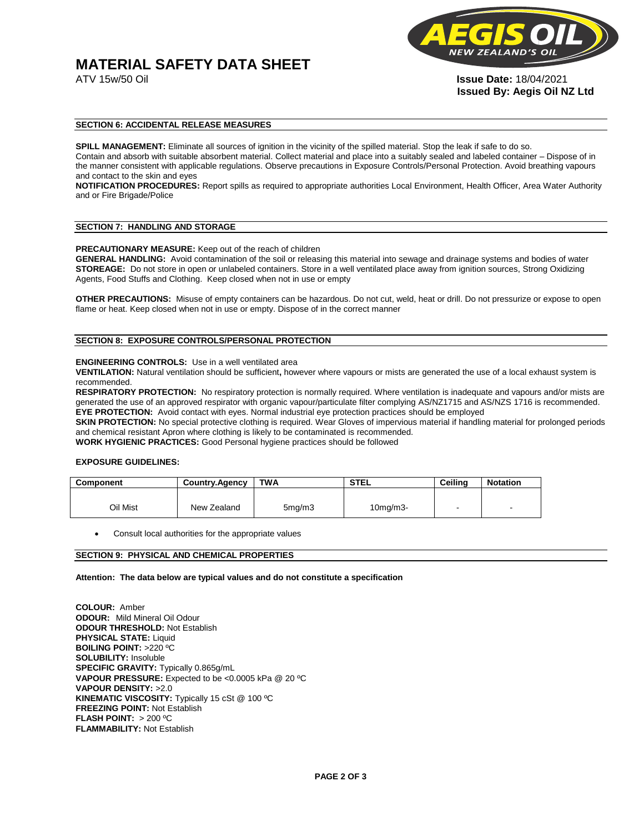# **MATERIAL SAFETY DATA SHEET**



ATV 15w/50 Oil **Issue Date:** 18/04/2021 **Issued By: Aegis Oil NZ Ltd** 

## **SECTION 6: ACCIDENTAL RELEASE MEASURES**

**SPILL MANAGEMENT:** Eliminate all sources of ignition in the vicinity of the spilled material. Stop the leak if safe to do so. Contain and absorb with suitable absorbent material. Collect material and place into a suitably sealed and labeled container – Dispose of in the manner consistent with applicable regulations. Observe precautions in Exposure Controls/Personal Protection. Avoid breathing vapours and contact to the skin and eyes

**NOTIFICATION PROCEDURES:** Report spills as required to appropriate authorities Local Environment, Health Officer, Area Water Authority and or Fire Brigade/Police

#### **SECTION 7: HANDLING AND STORAGE**

**PRECAUTIONARY MEASURE:** Keep out of the reach of children

**GENERAL HANDLING:** Avoid contamination of the soil or releasing this material into sewage and drainage systems and bodies of water **STOREAGE:** Do not store in open or unlabeled containers. Store in a well ventilated place away from ignition sources, Strong Oxidizing Agents, Food Stuffs and Clothing. Keep closed when not in use or empty

**OTHER PRECAUTIONS:** Misuse of empty containers can be hazardous. Do not cut, weld, heat or drill. Do not pressurize or expose to open flame or heat. Keep closed when not in use or empty. Dispose of in the correct manner

# **SECTION 8: EXPOSURE CONTROLS/PERSONAL PROTECTION**

#### **ENGINEERING CONTROLS:** Use in a well ventilated area

**VENTILATION:** Natural ventilation should be sufficient**,** however where vapours or mists are generated the use of a local exhaust system is recommended.

**RESPIRATORY PROTECTION:** No respiratory protection is normally required. Where ventilation is inadequate and vapours and/or mists are generated the use of an approved respirator with organic vapour/particulate filter complying AS/NZ1715 and AS/NZS 1716 is recommended. **EYE PROTECTION:** Avoid contact with eyes. Normal industrial eye protection practices should be employed

**SKIN PROTECTION:** No special protective clothing is required. Wear Gloves of impervious material if handling material for prolonged periods and chemical resistant Apron where clothing is likely to be contaminated is recommended.

**WORK HYGIENIC PRACTICES:** Good Personal hygiene practices should be followed

## **EXPOSURE GUIDELINES:**

| <b>Component</b> | <b>Country.Agency</b> | <b>TWA</b>          | <b>STEL</b>    | Ceilina | <b>Notation</b>          |
|------------------|-----------------------|---------------------|----------------|---------|--------------------------|
|                  |                       |                     |                |         |                          |
| Oil Mist         | New Zealand           | 5 <sub>mq</sub> /m3 | $10$ mg/m $3-$ |         | $\overline{\phantom{a}}$ |

Consult local authorities for the appropriate values

# **SECTION 9: PHYSICAL AND CHEMICAL PROPERTIES**

**Attention: The data below are typical values and do not constitute a specification** 

**COLOUR:** Amber **ODOUR:** Mild Mineral Oil Odour **ODOUR THRESHOLD:** Not Establish **PHYSICAL STATE:** Liquid **BOILING POINT:** >220 ºC **SOLUBILITY:** Insoluble **SPECIFIC GRAVITY:** Typically 0.865g/mL **VAPOUR PRESSURE:** Expected to be <0.0005 kPa @ 20 ºC **VAPOUR DENSITY:** >2.0 **KINEMATIC VISCOSITY:** Typically 15 cSt @ 100 ºC **FREEZING POINT: Not Establish FLASH POINT:** > 200 ºC **FLAMMABILITY:** Not Establish